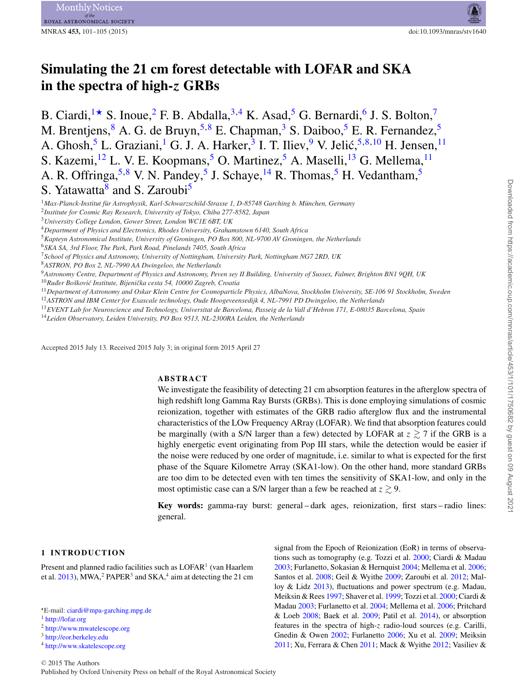# **Simulating the 21 cm forest detectable with LOFAR and SKA in the spectra of high-***z* **GRBs**

B. Ciardi,  $\star$  S. Inoue, <sup>[2](#page-0-2)</sup> F. B. Abdalla, <sup>[3,](#page-0-3)[4](#page-0-4)</sup> K. Asad, <sup>[5](#page-0-5)</sup> G. Bernardi, <sup>6</sup> J. S. Bolton,<sup>[7](#page-0-7)</sup> M. Brentjens, <sup>[8](#page-0-8)</sup> A. G. de Bruyn, <sup>[5,](#page-0-5) 8</sup> E. Chapman, <sup>[3](#page-0-3)</sup> S. Daiboo, <sup>[5](#page-0-5)</sup> E. R. Fernandez, <sup>5</sup> A. Ghosh,<sup>[5](#page-0-5)</sup> L. Graziani,<sup>[1](#page-0-0)</sup> G. J. A. Harker,<sup>[3](#page-0-3)</sup> I. T. Iliev,<sup>[9](#page-0-9)</sup> V. Jelić,<sup>[5,](#page-0-5)[8,](#page-0-8)[10](#page-0-10)</sup> H. Jensen,<sup>11</sup> S. Kazemi,<sup>[12](#page-0-12)</sup> L. V. E. Koopmans,<sup>[5](#page-0-5)</sup> O. Martinez,<sup>5</sup> A. Maselli,<sup>[13](#page-0-13)</sup> G. Mellema,<sup>11</sup> A. R. Offringa,  $5,8$  $5,8$  V. N. Pandey, <sup>[5](#page-0-5)</sup> J. Schaye, <sup>14</sup> R. Thomas, <sup>5</sup> H. Vedantham, <sup>5</sup> S. Yatawatta<sup>[8](#page-0-8)</sup> and S. Zaroubi<sup>5</sup>

<span id="page-0-4"></span><sup>4</sup>*Department of Physics and Electronics, Rhodes University, Grahamstown 6140, South Africa*

<span id="page-0-8"></span><sup>8</sup>*ASTRON, PO Box 2, NL-7990 AA Dwingeloo, the Netherlands*

<span id="page-0-9"></span><sup>9</sup>*Astronomy Centre, Department of Physics and Astronomy, Peven sey II Building, University of Sussex, Falmer, Brighton BN1 9QH, UK*

<span id="page-0-10"></span><sup>10</sup>*Ruđer Boskovi ˇ c Institute, Bijeni ´ cka cesta 54, 10000 Zagreb, Croatia ˇ*

<span id="page-0-11"></span><sup>11</sup>*Department of Astronomy and Oskar Klein Centre for Cosmoparticle Physics, AlbaNova, Stockholm University, SE-106 91 Stockholm, Sweden*

<span id="page-0-12"></span><sup>12</sup>*ASTRON and IBM Center for Exascale technology, Oude Hoogeveensedijk 4, NL-7991 PD Dwingeloo, the Netherlands*

<span id="page-0-13"></span><sup>13</sup>*EVENT Lab for Neuroscience and Technology, Universitat de Barcelona, Passeig de la Vall d'Hebron 171, E-08035 Barcelona, Spain*

<span id="page-0-14"></span><sup>14</sup>*Leiden Observatory, Leiden University, PO Box 9513, NL-2300RA Leiden, the Netherlands*

Accepted 2015 July 13. Received 2015 July 3; in original form 2015 April 27

## **ABSTRACT**

We investigate the feasibility of detecting 21 cm absorption features in the afterglow spectra of high redshift long Gamma Ray Bursts (GRBs). This is done employing simulations of cosmic reionization, together with estimates of the GRB radio afterglow flux and the instrumental characteristics of the LOw Frequency ARray (LOFAR). We find that absorption features could be marginally (with a S/N larger than a few) detected by LOFAR at  $z \gtrsim 7$  if the GRB is a highly energetic event originating from Pop III stars, while the detection would be easier if the noise were reduced by one order of magnitude, i.e. similar to what is expected for the first phase of the Square Kilometre Array (SKA1-low). On the other hand, more standard GRBs are too dim to be detected even with ten times the sensitivity of SKA1-low, and only in the most optimistic case can a S/N larger than a few be reached at  $z \gtrsim 9$ .

**Key words:** gamma-ray burst: general – dark ages, reionization, first stars – radio lines: general.

#### **1 INTRODUCTION**

Present and planned radio facilities such as LOFAR<sup>1</sup> (van Haarlem et al.  $2013$ ), MWA,<sup>2</sup> PAPER<sup>3</sup> and SKA,<sup>4</sup> aim at detecting the 21 cm signal from the Epoch of Reionization (EoR) in terms of observations such as tomography (e.g. Tozzi et al. [2000;](#page-4-1) Ciardi & Madau [2003;](#page-4-2) Furlanetto, Sokasian & Hernquist [2004;](#page-4-3) Mellema et al. [2006;](#page-4-4) Santos et al. [2008;](#page-4-5) Geil & Wyithe [2009;](#page-4-6) Zaroubi et al. [2012;](#page-4-7) Malloy & Lidz  $2013$ ), fluctuations and power spectrum (e.g. Madau, Meiksin & Rees [1997;](#page-4-9) Shaver et al. [1999;](#page-4-10) Tozzi et al. [2000;](#page-4-1) Ciardi & Madau [2003;](#page-4-2) Furlanetto et al. [2004;](#page-4-3) Mellema et al. [2006;](#page-4-4) Pritchard & Loeb [2008;](#page-4-11) Baek et al. [2009;](#page-4-12) Patil et al. [2014\)](#page-4-13), or absorption features in the spectra of high-z radio-loud sources (e.g. Carilli, Gnedin & Owen [2002;](#page-4-14) Furlanetto [2006;](#page-4-15) Xu et al. [2009;](#page-4-16) Meiksin [2011;](#page-4-17) Xu, Ferrara & Chen [2011;](#page-4-18) Mack & Wyithe [2012;](#page-4-19) Vasiliev &

<span id="page-0-0"></span><sup>&</sup>lt;sup>1</sup>Max-Planck-Institut für Astrophysik, Karl-Schwarzschild-Strasse 1, D-85748 Garching b. München, Germany

<span id="page-0-2"></span><sup>2</sup>*Institute for Cosmic Ray Research, University of Tokyo, Chiba 277-8582, Japan*

<span id="page-0-3"></span><sup>3</sup>*University College London, Gower Street, London WC1E 6BT, UK*

<span id="page-0-5"></span><sup>5</sup>*Kapteyn Astronomical Institute, University of Groningen, PO Box 800, NL-9700 AV Groningen, the Netherlands*

<span id="page-0-6"></span><sup>6</sup>*SKA SA, 3rd Floor, The Park, Park Road, Pinelands 7405, South Africa*

<span id="page-0-7"></span><sup>7</sup>*School of Physics and Astronomy, University of Nottingham, University Park, Nottingham NG7 2RD, UK*

<span id="page-0-1"></span><sup>-</sup>E-mail: [ciardi@mpa-garching.mpg.de](mailto:ciardi@mpa-garching.mpg.de)

<sup>1</sup> <http://lofar.org>

<sup>2</sup> <http://www.mwatelescope.org>

<sup>3</sup> <http://eor.berkeley.edu>

<sup>4</sup> <http://www.skatelescope.org>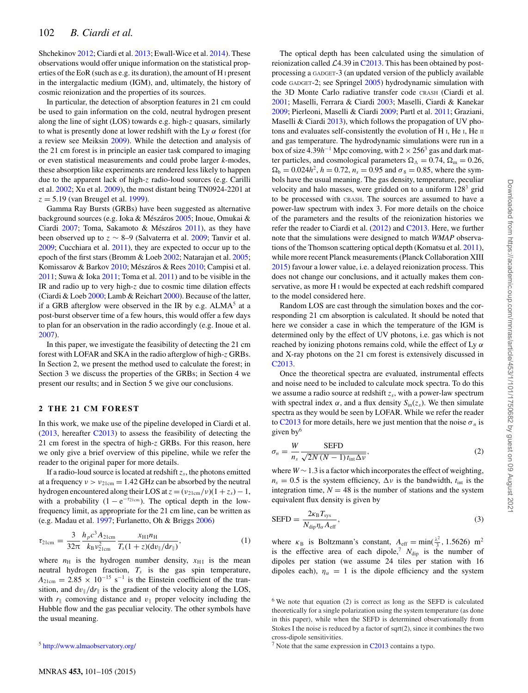Shchekinov [2012;](#page-4-20) Ciardi et al. [2013;](#page-4-21) Ewall-Wice et al. [2014\)](#page-4-22). These observations would offer unique information on the statistical properties of the EoR (such as e.g. its duration), the amount of H <sup>I</sup> present in the intergalactic medium (IGM), and, ultimately, the history of cosmic reionization and the properties of its sources.

In particular, the detection of absorption features in 21 cm could be used to gain information on the cold, neutral hydrogen present along the line of sight (LOS) towards e.g. high-z quasars, similarly to what is presently done at lower redshift with the Ly  $\alpha$  forest (for a review see Meiksin [2009\)](#page-4-23). While the detection and analysis of the 21 cm forest is in principle an easier task compared to imaging or even statistical measurements and could probe larger *k*-modes, these absorption like experiments are rendered less likely to happen due to the apparent lack of high-z radio-loud sources (e.g. Carilli et al. [2002;](#page-4-14) Xu et al. [2009\)](#page-4-16), the most distant being TN0924-2201 at  $z = 5.19$  (van Breugel et al. [1999\)](#page-4-24).

Gamma Ray Bursts (GRBs) have been suggested as alternative background sources (e.g. Ioka & Mészáros [2005;](#page-4-25) Inoue, Omukai & Ciardi  $2007$ ; Toma, Sakamoto & Mészáros  $2011$ ), as they have been observed up to  $z \sim 8-9$  (Salvaterra et al. [2009;](#page-4-28) Tanvir et al. [2009;](#page-4-29) Cucchiara et al. [2011\)](#page-4-30), they are expected to occur up to the epoch of the first stars (Bromm & Loeb [2002;](#page-4-31) Natarajan et al. [2005;](#page-4-32) Komissarov & Barkov [2010;](#page-4-34) Mészáros & Rees 2010; Campisi et al.  $2011$ ; Suwa & Ioka  $2011$ ; Toma et al.  $2011$ ) and to be visible in the IR and radio up to very high-z due to cosmic time dilation effects (Ciardi & Loeb [2000;](#page-4-37) Lamb & Reichart [2000\)](#page-4-38). Because of the latter, if a GRB afterglow were observed in the IR by e.g.  $ALMA<sup>5</sup>$  at a post-burst observer time of a few hours, this would offer a few days to plan for an observation in the radio accordingly (e.g. Inoue et al. [2007\)](#page-4-26).

In this paper, we investigate the feasibility of detecting the 21 cm forest with LOFAR and SKA in the radio afterglow of high-z GRBs. In Section 2, we present the method used to calculate the forest; in Section 3 we discuss the properties of the GRBs; in Section 4 we present our results; and in Section 5 we give our conclusions.

# **2 THE 21 CM FOREST**

In this work, we make use of the pipeline developed in Ciardi et al. [\(2013,](#page-4-21) hereafter [C2013\)](#page-4-21) to assess the feasibility of detecting the 21 cm forest in the spectra of high-z GRBs. For this reason, here we only give a brief overview of this pipeline, while we refer the reader to the original paper for more details.

If a radio-loud source is located at redshift  $z_s$ , the photons emitted at a frequency  $v > v_{21cm} = 1.42$  GHz can be absorbed by the neutral hydrogen encountered along their LOS at  $z = (v_{21cm}/v)(1 + z_s) - 1$ , with a probability  $(1 - e^{-\tau_{21cm}})$ . The optical depth in the lowfrequency limit, as appropriate for the 21 cm line, can be written as (e.g. Madau et al. [1997;](#page-4-9) Furlanetto, Oh & Briggs [2006\)](#page-4-39)

$$
\tau_{21cm} = \frac{3}{32\pi} \frac{h_p c^3 A_{21cm}}{k_B v_{21cm}^2} \frac{x_{\text{H}} n_{\text{H}}}{T_s (1+z)(\frac{dv_{\parallel}}{dr_{\parallel}})},\tag{1}
$$

where  $n<sub>H</sub>$  is the hydrogen number density,  $x<sub>H1</sub>$  is the mean neutral hydrogen fraction, *Ts* is the gas spin temperature,  $A_{21cm} = 2.85 \times 10^{-15}$  s<sup>-1</sup> is the Einstein coefficient of the transition, and  $dv_{\parallel}/dr_{\parallel}$  is the gradient of the velocity along the LOS, with  $r_{\parallel}$  comoving distance and  $v_{\parallel}$  proper velocity including the Hubble flow and the gas peculiar velocity. The other symbols have the usual meaning.

The optical depth has been calculated using the simulation of reionization called  $\mathcal{L}4.39$  in [C2013.](#page-4-21) This has been obtained by postprocessing a GADGET-3 (an updated version of the publicly available code GADGET-2; see Springel [2005\)](#page-4-40) hydrodynamic simulation with the 3D Monte Carlo radiative transfer code CRASH (Ciardi et al. [2001;](#page-4-41) Maselli, Ferrara & Ciardi [2003;](#page-4-42) Maselli, Ciardi & Kanekar [2009;](#page-4-43) Pierleoni, Maselli & Ciardi [2009;](#page-4-44) Partl et al. [2011;](#page-4-45) Graziani, Maselli & Ciardi [2013\)](#page-4-46), which follows the propagation of UV photons and evaluates self-consistently the evolution of H I, He I, He II and gas temperature. The hydrodynamic simulations were run in a box of size 4.39*h*−<sup>1</sup> Mpc comoving, with 2 <sup>×</sup> 2563 gas and dark matter particles, and cosmological parameters  $\Omega_{\Lambda} = 0.74$ ,  $\Omega_{\rm m} = 0.26$ ,  $\Omega_b = 0.024h^2$ ,  $h = 0.72$ ,  $n_s = 0.95$  and  $\sigma_8 = 0.85$ , where the symbols have the usual meaning. The gas density, temperature, peculiar velocity and halo masses, were gridded on to a uniform  $128<sup>3</sup>$  grid to be processed with CRASH. The sources are assumed to have a power-law spectrum with index 3. For more details on the choice of the parameters and the results of the reionization histories we refer the reader to Ciardi et al. [\(2012\)](#page-4-47) and [C2013.](#page-4-21) Here, we further note that the simulations were designed to match *WMAP* observations of the Thomson scattering optical depth (Komatsu et al. [2011\)](#page-4-48), while more recent Planck measurements (Planck Collaboration XIII [2015\)](#page-4-49) favour a lower value, i.e. a delayed reionization process. This does not change our conclusions, and it actually makes them conservative, as more H <sup>I</sup> would be expected at each redshift compared to the model considered here.

Random LOS are cast through the simulation boxes and the corresponding 21 cm absorption is calculated. It should be noted that here we consider a case in which the temperature of the IGM is determined only by the effect of UV photons, i.e. gas which is not reached by ionizing photons remains cold, while the effect of Ly  $\alpha$ and X-ray photons on the 21 cm forest is extensively discussed in [C2013.](#page-4-21)

Once the theoretical spectra are evaluated, instrumental effects and noise need to be included to calculate mock spectra. To do this we assume a radio source at redshift z*s*, with a power-law spectrum with spectral index  $\alpha$ , and a flux density  $S_{\text{in}}(z_s)$ . We then simulate spectra as they would be seen by LOFAR. While we refer the reader to [C2013](#page-4-21) for more details, here we just mention that the noise  $\sigma_n$  is given  $by<sup>6</sup>$ 

$$
\sigma_n = \frac{W}{n_s} \frac{\text{SEFD}}{\sqrt{2N(N-1)t_{\text{int}}\Delta v}},\tag{2}
$$

where *W* ∼ 1.3 is a factor which incorporates the effect of weighting,  $n_s = 0.5$  is the system efficiency,  $\Delta v$  is the bandwidth,  $t_{int}$  is the integration time,  $N = 48$  is the number of stations and the system equivalent flux density is given by

$$
SEFD = \frac{2\kappa_B T_{sys}}{N_{\text{dip}} \eta_\alpha A_{\text{eff}}},\tag{3}
$$

where  $\kappa_B$  is Boltzmann's constant,  $A_{\text{eff}} = \min(\frac{\lambda^2}{3}, 1.5626)$  m<sup>2</sup> is the effective area of each dipole,<sup>7</sup>  $N_{\text{dip}}$  is the number of dipoles per station (we assume 24 tiles per station with 16 dipoles each),  $\eta_{\alpha} = 1$  is the dipole efficiency and the system

<sup>5</sup> <http://www.almaobservatory.org/>

<sup>6</sup> We note that equation (2) is correct as long as the SEFD is calculated theoretically for a single polarization using the system temperature (as done in this paper), while when the SEFD is determined observationally from Stokes I the noise is reduced by a factor of sqrt(2), since it combines the two cross-dipole sensitivities.

 $<sup>7</sup>$  Note that the same expression in [C2013](#page-4-21) contains a typo.</sup>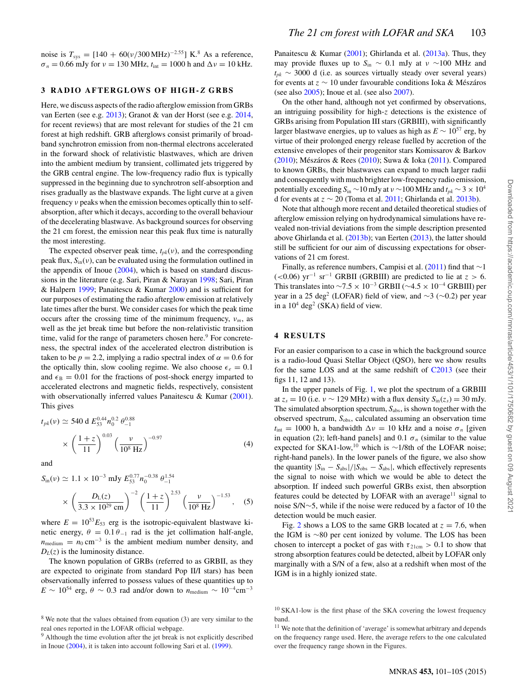noise is  $T_{\text{sys}} = [140 + 60(\nu/300 \text{ MHz})^{-2.55}] \text{ K}^{8}$  As a reference,  $\sigma_n = 0.66$  mJy for  $\nu = 130$  MHz,  $t_{\text{int}} = 1000$  h and  $\Delta \nu = 10$  kHz.

## **3 RADIO AFTERGLOWS OF HIGH-** *Z* **GRBS**

Here, we discuss aspects of the radio afterglow emission from GRBs van Eerten (see e.g. [2013\)](#page-4-50); Granot & van der Horst (see e.g. [2014,](#page-4-51) for recent reviews) that are most relevant for studies of the 21 cm forest at high redshift. GRB afterglows consist primarily of broadband synchrotron emission from non-thermal electrons accelerated in the forward shock of relativistic blastwaves, which are driven into the ambient medium by transient, collimated jets triggered by the GRB central engine. The low-frequency radio flux is typically suppressed in the beginning due to synchrotron self-absorption and rises gradually as the blastwave expands. The light curve at a given frequency ν peaks when the emission becomes optically thin to selfabsorption, after which it decays, according to the overall behaviour of the decelerating blastwave. As background sources for observing the 21 cm forest, the emission near this peak flux time is naturally the most interesting.

The expected observer peak time,  $t_{pk}(v)$ , and the corresponding peak flux,  $S_{in}(v)$ , can be evaluated using the formulation outlined in the appendix of Inoue [\(2004\)](#page-4-52), which is based on standard discussions in the literature (e.g. Sari, Piran & Narayan [1998;](#page-4-53) Sari, Piran & Halpern [1999;](#page-4-54) Panaitescu & Kumar [2000\)](#page-4-55) and is sufficient for our purposes of estimating the radio afterglow emission at relatively late times after the burst. We consider cases for which the peak time occurs after the crossing time of the minimum frequency,  $v_m$ , as well as the jet break time but before the non-relativistic transition time, valid for the range of parameters chosen here.<sup>9</sup> For concreteness, the spectral index of the accelerated electron distribution is taken to be  $p = 2.2$ , implying a radio spectral index of  $\alpha = 0.6$  for the optically thin, slow cooling regime. We also choose  $\epsilon_e = 0.1$ and  $\epsilon_B = 0.01$  for the fractions of post-shock energy imparted to accelerated electrons and magnetic fields, respectively, consistent with observationally inferred values Panaitescu & Kumar [\(2001\)](#page-4-56). This gives

$$
t_{pk}(\nu) \simeq 540 \text{ d } E_{53}^{0.44} n_0^{0.2} \theta_{-1}^{0.88}
$$
  
\$\times \left(\frac{1+z}{11}\right)^{0.03} \left(\frac{\nu}{10^8 \text{ Hz}}\right)^{-0.97}\$ (4)

and

$$
S_{\rm in}(\nu) \simeq 1.1 \times 10^{-3} \text{ mJy } E_{53}^{0.77} n_0^{-0.38} \theta_{-1}^{1.54}
$$

$$
\times \left(\frac{D_{\rm L}(z)}{3.3 \times 10^{29} \text{ cm}}\right)^{-2} \left(\frac{1+z}{11}\right)^{2.53} \left(\frac{\nu}{10^8 \text{ Hz}}\right)^{-1.53}, \quad (5)
$$

where  $E = 10^{53}E_{53}$  erg is the isotropic-equivalent blastwave kinetic energy,  $\theta = 0.1 \theta_{-1}$  rad is the jet collimation half-angle,  $n_{\text{medium}} = n_0 \text{ cm}^{-3}$  is the ambient medium number density, and  $D<sub>L</sub>(z)$  is the luminosity distance.

The known population of GRBs (referred to as GRBII, as they are expected to originate from standard Pop II/I stars) has been observationally inferred to possess values of these quantities up to  $E \sim 10^{54}$  erg,  $\theta \sim 0.3$  rad and/or down to  $n_{\text{medium}} \sim 10^{-4} \text{cm}^{-3}$  Panaitescu & Kumar [\(2001\)](#page-4-56); Ghirlanda et al. [\(2013a\)](#page-4-57). Thus, they may provide fluxes up to *S*in ∼ 0.1 mJy at ν ∼100 MHz and  $t_{pk}$  ~ 3000 d (i.e. as sources virtually steady over several years) for events at  $z \sim 10$  under favourable conditions Ioka & Mészáros (see also [2005\)](#page-4-25); Inoue et al. (see also [2007\)](#page-4-26).

On the other hand, although not yet confirmed by observations, an intriguing possibility for high-z detections is the existence of GRBs arising from Population III stars (GRBIII), with significantly larger blastwave energies, up to values as high as  $E \sim 10^{57}$  erg, by virtue of their prolonged energy release fuelled by accretion of the extensive envelopes of their progenitor stars Komissarov & Barkov [\(2010\)](#page-4-33); Mészáros & Rees ([2010\)](#page-4-34); Suwa & Ioka [\(2011\)](#page-4-36). Compared to known GRBs, their blastwaves can expand to much larger radii and consequently with much brighter low-frequency radio emission, potentially exceeding  $S_{in} \sim 10$  mJy at  $v \sim 100$  MHz and  $t_{pk} \sim 3 \times 10^4$ d for events at z ∼ 20 (Toma et al. [2011;](#page-4-27) Ghirlanda et al. [2013b\)](#page-4-58).

Note that although more recent and detailed theoretical studies of afterglow emission relying on hydrodynamical simulations have revealed non-trivial deviations from the simple description presented above Ghirlanda et al. [\(2013b\)](#page-4-58); van Eerten [\(2013\)](#page-4-50), the latter should still be sufficient for our aim of discussing expectations for observations of 21 cm forest.

Finally, as reference numbers, Campisi et al. [\(2011\)](#page-4-35) find that ∼1  $(<0.06)$  yr<sup>-1</sup> sr<sup>-1</sup> GRBII (GRBIII) are predicted to lie at  $z > 6$ . This translates into  $\sim$ 7.5 × 10<sup>-3</sup> GRBII ( $\sim$ 4.5 × 10<sup>-4</sup> GRBIII) per year in a 25 deg<sup>2</sup> (LOFAR) field of view, and  $\sim$ 3 ( $\sim$ 0.2) per year in a  $10^4$  deg<sup>2</sup> (SKA) field of view.

### **4 RESULTS**

For an easier comparison to a case in which the background source is a radio-loud Quasi Stellar Object (QSO), here we show results for the same LOS and at the same redshift of [C2013](#page-4-21) (see their figs 11, 12 and 13).

In the upper panels of Fig. [1,](#page-3-0) we plot the spectrum of a GRBIII at  $z_s = 10$  (i.e.  $v \sim 129$  MHz) with a flux density  $S_{in}(z_s) = 30$  mJy. The simulated absorption spectrum,  $S_{\text{abs}}$ , is shown together with the observed spectrum, S<sub>obs</sub>, calculated assuming an observation time  $t_{\text{int}} = 1000 \text{ h}$ , a bandwidth  $\Delta v = 10 \text{ kHz}$  and a noise  $\sigma_n$  [given in equation (2); left-hand panels] and 0.1  $\sigma_n$  (similar to the value expected for SKA1-low,<sup>10</sup> which is ∼1/8th of the LOFAR noise; right-hand panels). In the lower panels of the figure, we also show the quantity  $|S_{\text{in}} - S_{\text{abs}}|/|S_{\text{obs}} - S_{\text{abs}}|$ , which effectively represents the signal to noise with which we would be able to detect the absorption. If indeed such powerful GRBs exist, then absorption features could be detected by LOFAR with an average<sup>11</sup> signal to noise S/N∼5, while if the noise were reduced by a factor of 10 the detection would be much easier.

Fig. [2](#page-3-1) shows a LOS to the same GRB located at  $z = 7.6$ , when the IGM is ∼80 per cent ionized by volume. The LOS has been chosen to intercept a pocket of gas with  $\tau_{21cm} > 0.1$  to show that strong absorption features could be detected, albeit by LOFAR only marginally with a S/N of a few, also at a redshift when most of the IGM is in a highly ionized state.

 $8$  We note that the values obtained from equation (3) are very similar to the real ones reported in the LOFAR official webpage.

<sup>&</sup>lt;sup>9</sup> Although the time evolution after the jet break is not explicitly described in Inoue [\(2004\)](#page-4-52), it is taken into account following Sari et al. [\(1999\)](#page-4-54).

 $10$  SKA1-low is the first phase of the SKA covering the lowest frequency band.

<sup>&</sup>lt;sup>11</sup> We note that the definition of 'average' is somewhat arbitrary and depends on the frequency range used. Here, the average refers to the one calculated over the frequency range shown in the Figures.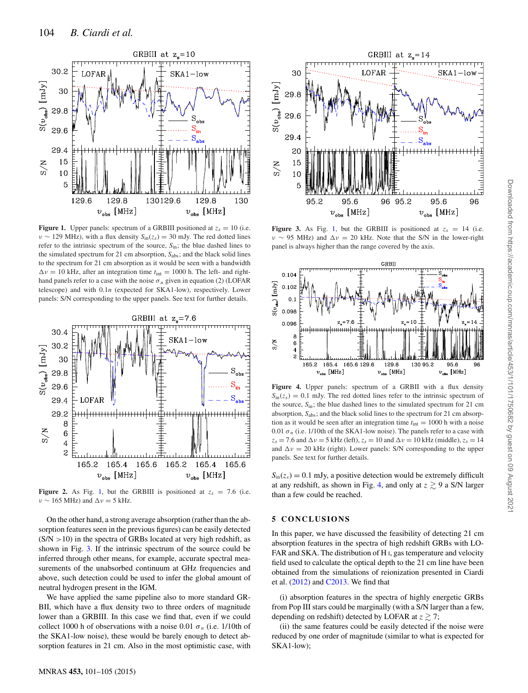<span id="page-3-0"></span>

**Figure 1.** Upper panels: spectrum of a GRBIII positioned at  $z_s = 10$  (i.e. ν ∼ 129 MHz), with a flux density *S*in(z*s*) = 30 mJy. The red dotted lines refer to the intrinsic spectrum of the source, *S*in; the blue dashed lines to the simulated spectrum for 21 cm absorption,  $S_{\text{abs}}$ ; and the black solid lines to the spectrum for 21 cm absorption as it would be seen with a bandwidth  $\Delta v = 10$  kHz, after an integration time  $t_{\text{int}} = 1000$  h. The left- and righthand panels refer to a case with the noise  $\sigma_n$  given in equation (2) (LOFAR telescope) and with 0.1*n* (expected for SKA1-low), respectively. Lower panels: S/N corresponding to the upper panels. See text for further details.

<span id="page-3-1"></span>

**Figure 2.** As Fig. [1,](#page-3-0) but the GRBIII is positioned at  $z_s = 7.6$  (i.e.  $v \sim 165$  MHz) and  $\Delta v = 5$  kHz.

On the other hand, a strong average absorption (rather than the absorption features seen in the previous figures) can be easily detected  $(S/N > 10)$  in the spectra of GRBs located at very high redshift, as shown in Fig. [3.](#page-3-2) If the intrinsic spectrum of the source could be inferred through other means, for example, accurate spectral measurements of the unabsorbed continuum at GHz frequencies and above, such detection could be used to infer the global amount of neutral hydrogen present in the IGM.

We have applied the same pipeline also to more standard GR-BII, which have a flux density two to three orders of magnitude lower than a GRBIII. In this case we find that, even if we could collect 1000 h of observations with a noise 0.01  $\sigma_n$  (i.e. 1/10th of the SKA1-low noise), these would be barely enough to detect absorption features in 21 cm. Also in the most optimistic case, with

<span id="page-3-2"></span>

**Figure 3.** As Fig. [1,](#page-3-0) but the GRBIII is positioned at  $z_s = 14$  (i.e.  $v \sim 95$  MHz) and  $\Delta v = 20$  kHz. Note that the S/N in the lower-right panel is always higher than the range covered by the axis.

<span id="page-3-3"></span>

Figure 4. Upper panels: spectrum of a GRBII with a flux density  $S_{\text{in}}(z_s) = 0.1$  mJy. The red dotted lines refer to the intrinsic spectrum of the source, *S*in; the blue dashed lines to the simulated spectrum for 21 cm absorption,  $S_{\text{abs}}$ ; and the black solid lines to the spectrum for 21 cm absorption as it would be seen after an integration time  $t_{\text{int}} = 1000$  h with a noise 0.01  $\sigma_n$  (i.e. 1/10th of the SKA1-low noise). The panels refer to a case with  $z_s = 7.6$  and  $\Delta v = 5$  kHz (left),  $z_s = 10$  and  $\Delta v = 10$  kHz (middle),  $z_s = 14$ and  $\Delta v = 20$  kHz (right). Lower panels: S/N corresponding to the upper panels. See text for further details.

 $S_{\text{in}}(z_s) = 0.1$  mJy, a positive detection would be extremely difficult at any redshift, as shown in Fig. [4,](#page-3-3) and only at  $z \gtrsim 9$  a S/N larger than a few could be reached.

#### **5 CONCLUSIONS**

In this paper, we have discussed the feasibility of detecting 21 cm absorption features in the spectra of high redshift GRBs with LO-FAR and SKA. The distribution of H I, gas temperature and velocity field used to calculate the optical depth to the 21 cm line have been obtained from the simulations of reionization presented in Ciardi et al. [\(2012\)](#page-4-47) and [C2013.](#page-4-21) We find that

(i) absorption features in the spectra of highly energetic GRBs from Pop III stars could be marginally (with a S/N larger than a few, depending on redshift) detected by LOFAR at  $z \gtrsim 7$ ;

(ii) the same features could be easily detected if the noise were reduced by one order of magnitude (similar to what is expected for SKA1-low);